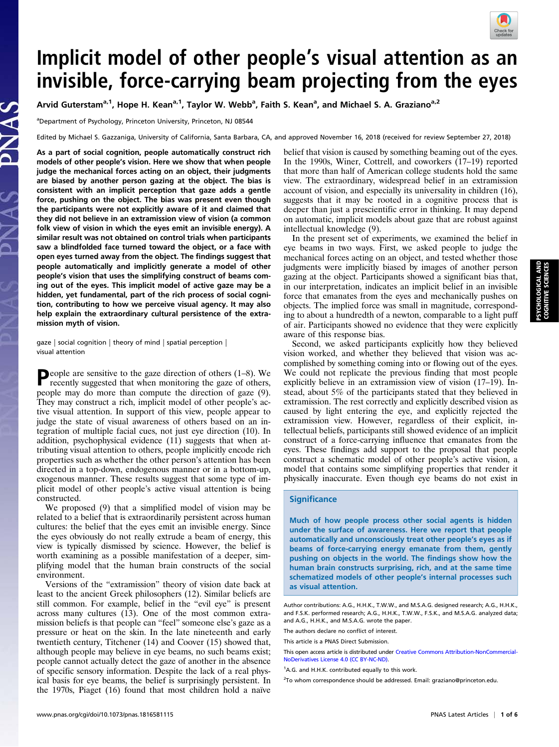

# Implicit model of other people's visual attention as an invisible, force-carrying beam projecting from the eyes

Arvid Guterstam<sup>a, 1</sup>, Hope H. Kean<sup>a, 1</sup>, Taylor W. Webb<sup>a</sup>, Faith S. Kean<sup>a</sup>, and Michael S. A. Graziano<sup>a, 2</sup>

<sup>a</sup>Department of Psychology, Princeton University, Princeton, NJ 08544

Edited by Michael S. Gazzaniga, University of California, Santa Barbara, CA, and approved November 16, 2018 (received for review September 27, 2018)

As a part of social cognition, people automatically construct rich models of other people's vision. Here we show that when people judge the mechanical forces acting on an object, their judgments are biased by another person gazing at the object. The bias is consistent with an implicit perception that gaze adds a gentle force, pushing on the object. The bias was present even though the participants were not explicitly aware of it and claimed that they did not believe in an extramission view of vision (a common folk view of vision in which the eyes emit an invisible energy). A similar result was not obtained on control trials when participants saw a blindfolded face turned toward the object, or a face with open eyes turned away from the object. The findings suggest that people automatically and implicitly generate a model of other people's vision that uses the simplifying construct of beams coming out of the eyes. This implicit model of active gaze may be a hidden, yet fundamental, part of the rich process of social cognition, contributing to how we perceive visual agency. It may also help explain the extraordinary cultural persistence of the extramission myth of vision.

gaze | social cognition | theory of mind | spatial perception | visual attention

**P**eople are sensitive to the gaze direction of others (1–8). We recently suggested that when monitoring the gaze of others, people may do more than compute the direction of gaze (9). They may construct a rich, implicit model of other people's active visual attention. In support of this view, people appear to judge the state of visual awareness of others based on an integration of multiple facial cues, not just eye direction (10). In addition, psychophysical evidence (11) suggests that when attributing visual attention to others, people implicitly encode rich properties such as whether the other person's attention has been directed in a top-down, endogenous manner or in a bottom-up, exogenous manner. These results suggest that some type of implicit model of other people's active visual attention is being constructed.

We proposed (9) that a simplified model of vision may be related to a belief that is extraordinarily persistent across human cultures: the belief that the eyes emit an invisible energy. Since the eyes obviously do not really extrude a beam of energy, this view is typically dismissed by science. However, the belief is worth examining as a possible manifestation of a deeper, simplifying model that the human brain constructs of the social environment.

Versions of the "extramission" theory of vision date back at least to the ancient Greek philosophers (12). Similar beliefs are still common. For example, belief in the "evil eye" is present across many cultures  $(13)$ . One of the most common extramission beliefs is that people can "feel" someone else's gaze as a pressure or heat on the skin. In the late nineteenth and early twentieth century, Titchener (14) and Coover (15) showed that, although people may believe in eye beams, no such beams exist; people cannot actually detect the gaze of another in the absence of specific sensory information. Despite the lack of a real physical basis for eye beams, the belief is surprisingly persistent. In the 1970s, Piaget (16) found that most children hold a naïve

belief that vision is caused by something beaming out of the eyes. In the 1990s, Winer, Cottrell, and coworkers (17–19) reported that more than half of American college students hold the same view. The extraordinary, widespread belief in an extramission account of vision, and especially its universality in children (16), suggests that it may be rooted in a cognitive process that is deeper than just a prescientific error in thinking. It may depend on automatic, implicit models about gaze that are robust against intellectual knowledge (9).

In the present set of experiments, we examined the belief in eye beams in two ways. First, we asked people to judge the mechanical forces acting on an object, and tested whether those judgments were implicitly biased by images of another person gazing at the object. Participants showed a significant bias that, in our interpretation, indicates an implicit belief in an invisible force that emanates from the eyes and mechanically pushes on objects. The implied force was small in magnitude, corresponding to about a hundredth of a newton, comparable to a light puff of air. Participants showed no evidence that they were explicitly aware of this response bias.

Second, we asked participants explicitly how they believed vision worked, and whether they believed that vision was accomplished by something coming into or flowing out of the eyes. We could not replicate the previous finding that most people explicitly believe in an extramission view of vision (17–19). Instead, about 5% of the participants stated that they believed in extramission. The rest correctly and explicitly described vision as caused by light entering the eye, and explicitly rejected the extramission view. However, regardless of their explicit, intellectual beliefs, participants still showed evidence of an implicit construct of a force-carrying influence that emanates from the eyes. These findings add support to the proposal that people construct a schematic model of other people's active vision, a model that contains some simplifying properties that render it physically inaccurate. Even though eye beams do not exist in

## **Significance**

Much of how people process other social agents is hidden under the surface of awareness. Here we report that people automatically and unconsciously treat other people's eyes as if beams of force-carrying energy emanate from them, gently pushing on objects in the world. The findings show how the human brain constructs surprising, rich, and at the same time schematized models of other people's internal processes such as visual attention.

Author contributions: A.G., H.H.K., T.W.W., and M.S.A.G. designed research; A.G., H.H.K., and F.S.K. performed research; A.G., H.H.K., T.W.W., F.S.K., and M.S.A.G. analyzed data; and A.G., H.H.K., and M.S.A.G. wrote the paper.

The authors declare no conflict of interest.

This article is a PNAS Direct Submission.

This open access article is distributed under [Creative Commons Attribution-NonCommercial-](https://creativecommons.org/licenses/by-nc-nd/4.0/)[NoDerivatives License 4.0 \(CC BY-NC-ND\).](https://creativecommons.org/licenses/by-nc-nd/4.0/)

<sup>1</sup>A.G. and H.H.K. contributed equally to this work.

<sup>2</sup>To whom correspondence should be addressed. Email: [graziano@princeton.edu.](mailto:graziano@princeton.edu)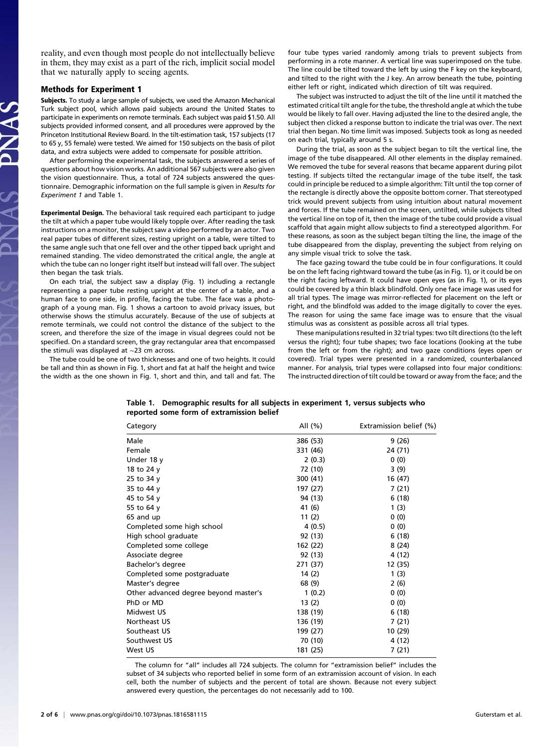reality, and even though most people do not intellectually believe in them, they may exist as a part of the rich, implicit social model that we naturally apply to seeing agents.

#### Methods for Experiment 1

Subjects. To study a large sample of subjects, we used the Amazon Mechanical Turk subject pool, which allows paid subjects around the United States to participate in experiments on remote terminals. Each subject was paid \$1.50. All subjects provided informed consent, and all procedures were approved by the Princeton Institutional Review Board. In the tilt-estimation task, 157 subjects (17 to 65 y, 55 female) were tested. We aimed for 150 subjects on the basis of pilot data, and extra subjects were added to compensate for possible attrition.

After performing the experimental task, the subjects answered a series of questions about how vision works. An additional 567 subjects were also given the vision questionnaire. Thus, a total of 724 subjects answered the questionnaire. Demographic information on the full sample is given in Results for Experiment 1 and Table 1.

Experimental Design. The behavioral task required each participant to judge the tilt at which a paper tube would likely topple over. After reading the task instructions on a monitor, the subject saw a video performed by an actor. Two real paper tubes of different sizes, resting upright on a table, were tilted to the same angle such that one fell over and the other tipped back upright and remained standing. The video demonstrated the critical angle, the angle at which the tube can no longer right itself but instead will fall over. The subject then began the task trials.

On each trial, the subject saw a display (Fig. 1) including a rectangle representing a paper tube resting upright at the center of a table, and a human face to one side, in profile, facing the tube. The face was a photograph of a young man. Fig. 1 shows a cartoon to avoid privacy issues, but otherwise shows the stimulus accurately. Because of the use of subjects at remote terminals, we could not control the distance of the subject to the screen, and therefore the size of the image in visual degrees could not be specified. On a standard screen, the gray rectangular area that encompassed the stimuli was displayed at ∼23 cm across.

The tube could be one of two thicknesses and one of two heights. It could be tall and thin as shown in Fig. 1, short and fat at half the height and twice the width as the one shown in Fig. 1, short and thin, and tall and fat. The four tube types varied randomly among trials to prevent subjects from performing in a rote manner. A vertical line was superimposed on the tube. The line could be tilted toward the left by using the F key on the keyboard, and tilted to the right with the J key. An arrow beneath the tube, pointing either left or right, indicated which direction of tilt was required.

The subject was instructed to adjust the tilt of the line until it matched the estimated critical tilt angle for the tube, the threshold angle at which the tube would be likely to fall over. Having adjusted the line to the desired angle, the subject then clicked a response button to indicate the trial was over. The next trial then began. No time limit was imposed. Subjects took as long as needed on each trial, typically around 5 s.

During the trial, as soon as the subject began to tilt the vertical line, the image of the tube disappeared. All other elements in the display remained. We removed the tube for several reasons that became apparent during pilot testing. If subjects tilted the rectangular image of the tube itself, the task could in principle be reduced to a simple algorithm: Tilt until the top corner of the rectangle is directly above the opposite bottom corner. That stereotyped trick would prevent subjects from using intuition about natural movement and forces. If the tube remained on the screen, untilted, while subjects tilted the vertical line on top of it, then the image of the tube could provide a visual scaffold that again might allow subjects to find a stereotyped algorithm. For these reasons, as soon as the subject began tilting the line, the image of the tube disappeared from the display, preventing the subject from relying on any simple visual trick to solve the task.

The face gazing toward the tube could be in four configurations. It could be on the left facing rightward toward the tube (as in Fig. 1), or it could be on the right facing leftward. It could have open eyes (as in Fig. 1), or its eyes could be covered by a thin black blindfold. Only one face image was used for all trial types. The image was mirror-reflected for placement on the left or right, and the blindfold was added to the image digitally to cover the eyes. The reason for using the same face image was to ensure that the visual stimulus was as consistent as possible across all trial types.

These manipulations resulted in 32 trial types: two tilt directions (to the left versus the right); four tube shapes; two face locations (looking at the tube from the left or from the right); and two gaze conditions (eyes open or covered). Trial types were presented in a randomized, counterbalanced manner. For analysis, trial types were collapsed into four major conditions: The instructed direction of tilt could be toward or away from the face; and the

Table 1. Demographic results for all subjects in experiment 1, versus subjects who reported some form of extramission belief

| Category                              | All (%)  | Extramission belief (%) |
|---------------------------------------|----------|-------------------------|
| Male                                  | 386 (53) | 9(26)                   |
| Female                                | 331 (46) | 24 (71)                 |
| Under 18 y                            | 2(0.3)   | 0(0)                    |
| 18 to 24 y                            | 72 (10)  | 3(9)                    |
| 25 to 34 y                            | 300 (41) | 16 (47)                 |
| 35 to 44 y                            | 197 (27) | 7(21)                   |
| 45 to 54 y                            | 94 (13)  | 6(18)                   |
| 55 to 64 y                            | 41 (6)   | 1(3)                    |
| 65 and up                             | 11(2)    | 0(0)                    |
| Completed some high school            | 4(0.5)   | 0(0)                    |
| High school graduate                  | 92 (13)  | 6(18)                   |
| Completed some college                | 162 (22) | 8(24)                   |
| Associate degree                      | 92 (13)  | 4 (12)                  |
| Bachelor's degree                     | 271 (37) | 12 (35)                 |
| Completed some postgraduate           | 14(2)    | 1(3)                    |
| Master's degree                       | 68 (9)   | 2(6)                    |
| Other advanced degree beyond master's | 1(0.2)   | 0(0)                    |
| PhD or MD                             | 13(2)    | 0(0)                    |
| Midwest US                            | 138 (19) | 6(18)                   |
| Northeast US                          | 136 (19) | 7(21)                   |
| Southeast US                          | 199 (27) | 10 (29)                 |
| Southwest US                          | 70 (10)  | 4 (12)                  |
| West US                               | 181 (25) | 7(21)                   |

The column for "all" includes all 724 subjects. The column for "extramission belief" includes the subset of 34 subjects who reported belief in some form of an extramission account of vision. In each cell, both the number of subjects and the percent of total are shown. Because not every subject answered every question, the percentages do not necessarily add to 100.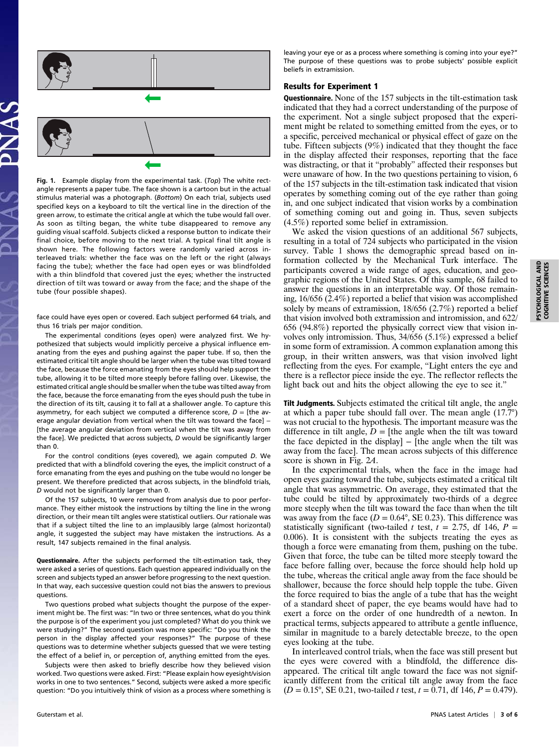

Fig. 1. Example display from the experimental task. (Top) The white rectangle represents a paper tube. The face shown is a cartoon but in the actual stimulus material was a photograph. (Bottom) On each trial, subjects used specified keys on a keyboard to tilt the vertical line in the direction of the green arrow, to estimate the critical angle at which the tube would fall over. As soon as tilting began, the white tube disappeared to remove any guiding visual scaffold. Subjects clicked a response button to indicate their final choice, before moving to the next trial. A typical final tilt angle is shown here. The following factors were randomly varied across interleaved trials: whether the face was on the left or the right (always facing the tube); whether the face had open eyes or was blindfolded with a thin blindfold that covered just the eyes; whether the instructed direction of tilt was toward or away from the face; and the shape of the tube (four possible shapes).

face could have eyes open or covered. Each subject performed 64 trials, and thus 16 trials per major condition.

The experimental conditions (eyes open) were analyzed first. We hypothesized that subjects would implicitly perceive a physical influence emanating from the eyes and pushing against the paper tube. If so, then the estimated critical tilt angle should be larger when the tube was tilted toward the face, because the force emanating from the eyes should help support the tube, allowing it to be tilted more steeply before falling over. Likewise, the estimated critical angle should be smaller when the tube was tilted away from the face, because the force emanating from the eyes should push the tube in the direction of its tilt, causing it to fall at a shallower angle. To capture this asymmetry, for each subject we computed a difference score,  $D =$  [the average angular deviation from vertical when the tilt was toward the face] – [the average angular deviation from vertical when the tilt was away from the face]. We predicted that across subjects, D would be significantly larger than 0.

For the control conditions (eyes covered), we again computed D. We predicted that with a blindfold covering the eyes, the implicit construct of a force emanating from the eyes and pushing on the tube would no longer be present. We therefore predicted that across subjects, in the blindfold trials, D would not be significantly larger than 0.

Of the 157 subjects, 10 were removed from analysis due to poor performance. They either mistook the instructions by tilting the line in the wrong direction, or their mean tilt angles were statistical outliers. Our rationale was that if a subject tilted the line to an implausibly large (almost horizontal) angle, it suggested the subject may have mistaken the instructions. As a result, 147 subjects remained in the final analysis.

Questionnaire. After the subjects performed the tilt-estimation task, they were asked a series of questions. Each question appeared individually on the screen and subjects typed an answer before progressing to the next question. In that way, each successive question could not bias the answers to previous questions.

Two questions probed what subjects thought the purpose of the experiment might be. The first was: "In two or three sentences, what do you think the purpose is of the experiment you just completed? What do you think we were studying?" The second question was more specific: "Do you think the person in the display affected your responses?" The purpose of these questions was to determine whether subjects guessed that we were testing the effect of a belief in, or perception of, anything emitted from the eyes.

Subjects were then asked to briefly describe how they believed vision worked. Two questions were asked. First: "Please explain how eyesight/vision works in one to two sentences." Second, subjects were asked a more specific question: "Do you intuitively think of vision as a process where something is leaving your eye or as a process where something is coming into your eye?" The purpose of these questions was to probe subjects' possible explicit beliefs in extramission.

## Results for Experiment 1

Questionnaire. None of the 157 subjects in the tilt-estimation task indicated that they had a correct understanding of the purpose of the experiment. Not a single subject proposed that the experiment might be related to something emitted from the eyes, or to a specific, perceived mechanical or physical effect of gaze on the tube. Fifteen subjects (9%) indicated that they thought the face in the display affected their responses, reporting that the face was distracting, or that it "probably" affected their responses but were unaware of how. In the two questions pertaining to vision, 6 of the 157 subjects in the tilt-estimation task indicated that vision operates by something coming out of the eye rather than going in, and one subject indicated that vision works by a combination of something coming out and going in. Thus, seven subjects (4.5%) reported some belief in extramission.

We asked the vision questions of an additional 567 subjects, resulting in a total of 724 subjects who participated in the vision survey. Table 1 shows the demographic spread based on information collected by the Mechanical Turk interface. The participants covered a wide range of ages, education, and geographic regions of the United States. Of this sample, 68 failed to answer the questions in an interpretable way. Of those remaining, 16/656 (2.4%) reported a belief that vision was accomplished solely by means of extramission, 18/656 (2.7%) reported a belief that vision involved both extramission and intromission, and 622/ 656 (94.8%) reported the physically correct view that vision involves only intromission. Thus, 34/656 (5.1%) expressed a belief in some form of extramission. A common explanation among this group, in their written answers, was that vision involved light reflecting from the eyes. For example, "Light enters the eye and there is a reflector piece inside the eye. The reflector reflects the light back out and hits the object allowing the eye to see it."

Tilt Judgments. Subjects estimated the critical tilt angle, the angle at which a paper tube should fall over. The mean angle (17.7°) was not crucial to the hypothesis. The important measure was the difference in tilt angle,  $D =$  [the angle when the tilt was toward the face depicted in the display] − [the angle when the tilt was away from the face]. The mean across subjects of this difference score is shown in Fig. 2A.

In the experimental trials, when the face in the image had open eyes gazing toward the tube, subjects estimated a critical tilt angle that was asymmetric. On average, they estimated that the tube could be tilted by approximately two-thirds of a degree more steeply when the tilt was toward the face than when the tilt was away from the face  $(D = 0.64^{\circ}, \text{SE } 0.23)$ . This difference was statistically significant (two-tailed t test,  $t = 2.75$ , df 146,  $P =$ 0.006). It is consistent with the subjects treating the eyes as though a force were emanating from them, pushing on the tube. Given that force, the tube can be tilted more steeply toward the face before falling over, because the force should help hold up the tube, whereas the critical angle away from the face should be shallower, because the force should help topple the tube. Given the force required to bias the angle of a tube that has the weight of a standard sheet of paper, the eye beams would have had to exert a force on the order of one hundredth of a newton. In practical terms, subjects appeared to attribute a gentle influence, similar in magnitude to a barely detectable breeze, to the open eyes looking at the tube.

In interleaved control trials, when the face was still present but the eyes were covered with a blindfold, the difference disappeared. The critical tilt angle toward the face was not significantly different from the critical tilt angle away from the face  $(D = 0.15^{\circ}, \text{SE } 0.21, \text{ two-tailed } t \text{ test}, t = 0.71, \text{ df } 146, P = 0.479).$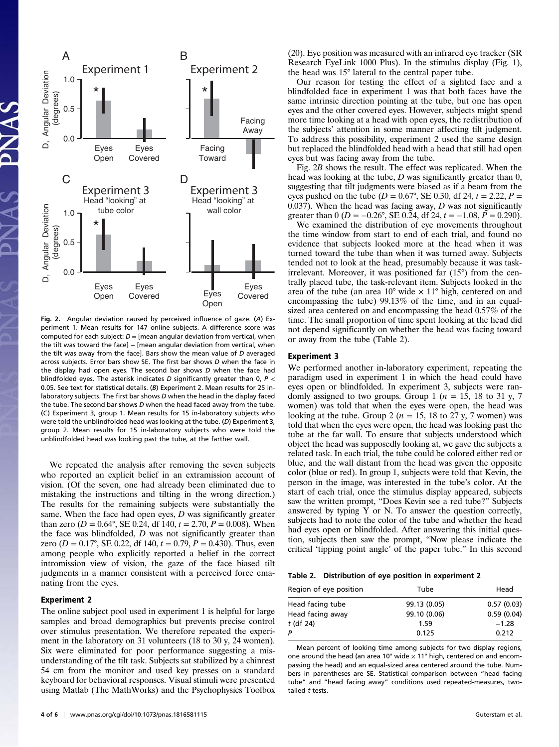

Fig. 2. Angular deviation caused by perceived influence of gaze. (A) Experiment 1. Mean results for 147 online subjects. A difference score was computed for each subject:  $D =$  [mean angular deviation from vertical, when the tilt was toward the face] − [mean angular deviation from vertical, when the tilt was away from the face]. Bars show the mean value of D averaged across subjects. Error bars show SE. The first bar shows D when the face in the display had open eyes. The second bar shows D when the face had blindfolded eyes. The asterisk indicates  $D$  significantly greater than 0,  $P <$ 0.05. See text for statistical details. (B) Experiment 2. Mean results for 25 inlaboratory subjects. The first bar shows D when the head in the display faced the tube. The second bar shows D when the head faced away from the tube. (C) Experiment 3, group 1. Mean results for 15 in-laboratory subjects who were told the unblindfolded head was looking at the tube. (D) Experiment 3, group 2. Mean results for 15 in-laboratory subjects who were told the unblindfolded head was looking past the tube, at the farther wall.

We repeated the analysis after removing the seven subjects who reported an explicit belief in an extramission account of vision. (Of the seven, one had already been eliminated due to mistaking the instructions and tilting in the wrong direction.) The results for the remaining subjects were substantially the same. When the face had open eyes,  $D$  was significantly greater than zero ( $D = 0.64^{\circ}$ , SE 0.24, df 140,  $t = 2.70$ ,  $P = 0.008$ ). When the face was blindfolded,  $D$  was not significantly greater than zero ( $D = 0.17^{\circ}$ , SE 0.22, df 140,  $t = 0.79$ ,  $P = 0.430$ ). Thus, even among people who explicitly reported a belief in the correct intromission view of vision, the gaze of the face biased tilt judgments in a manner consistent with a perceived force emanating from the eyes.

## Experiment 2

The online subject pool used in experiment 1 is helpful for large samples and broad demographics but prevents precise control over stimulus presentation. We therefore repeated the experiment in the laboratory on 31 volunteers (18 to 30 y, 24 women). Six were eliminated for poor performance suggesting a misunderstanding of the tilt task. Subjects sat stabilized by a chinrest 54 cm from the monitor and used key presses on a standard keyboard for behavioral responses. Visual stimuli were presented using Matlab (The MathWorks) and the Psychophysics Toolbox

(20). Eye position was measured with an infrared eye tracker (SR Research EyeLink 1000 Plus). In the stimulus display (Fig. 1), the head was 15° lateral to the central paper tube.

Our reason for testing the effect of a sighted face and a blindfolded face in experiment 1 was that both faces have the same intrinsic direction pointing at the tube, but one has open eyes and the other covered eyes. However, subjects might spend more time looking at a head with open eyes, the redistribution of the subjects' attention in some manner affecting tilt judgment. To address this possibility, experiment 2 used the same design but replaced the blindfolded head with a head that still had open eyes but was facing away from the tube.

Fig. 2B shows the result. The effect was replicated. When the head was looking at the tube,  $D$  was significantly greater than  $0$ , suggesting that tilt judgments were biased as if a beam from the eyes pushed on the tube ( $D = 0.67^{\circ}$ , SE 0.30, df 24,  $t = 2.22$ ,  $P =$ 0.037). When the head was facing away,  $D$  was not significantly greater than 0 ( $D = -0.26^{\circ}$ , SE 0.24, df 24,  $t = -1.08$ ,  $P = 0.290$ ).

We examined the distribution of eye movements throughout the time window from start to end of each trial, and found no evidence that subjects looked more at the head when it was turned toward the tube than when it was turned away. Subjects tended not to look at the head, presumably because it was taskirrelevant. Moreover, it was positioned far (15°) from the centrally placed tube, the task-relevant item. Subjects looked in the area of the tube (an area  $10^{\circ}$  wide  $\times$   $11^{\circ}$  high, centered on and encompassing the tube) 99.13% of the time, and in an equalsized area centered on and encompassing the head 0.57% of the time. The small proportion of time spent looking at the head did not depend significantly on whether the head was facing toward or away from the tube (Table 2).

## Experiment 3

We performed another in-laboratory experiment, repeating the paradigm used in experiment 1 in which the head could have eyes open or blindfolded. In experiment 3, subjects were randomly assigned to two groups. Group 1 ( $n = 15$ , 18 to 31 y, 7 women) was told that when the eyes were open, the head was looking at the tube. Group 2 ( $n = 15$ , 18 to 27 y, 7 women) was told that when the eyes were open, the head was looking past the tube at the far wall. To ensure that subjects understood which object the head was supposedly looking at, we gave the subjects a related task. In each trial, the tube could be colored either red or blue, and the wall distant from the head was given the opposite color (blue or red). In group 1, subjects were told that Kevin, the person in the image, was interested in the tube's color. At the start of each trial, once the stimulus display appeared, subjects saw the written prompt, "Does Kevin see a red tube?" Subjects answered by typing Y or N. To answer the question correctly, subjects had to note the color of the tube and whether the head had eyes open or blindfolded. After answering this initial question, subjects then saw the prompt, "Now please indicate the critical 'tipping point angle' of the paper tube." In this second

| Table 2. Distribution of eye position in experiment 2 |  |  |
|-------------------------------------------------------|--|--|
|-------------------------------------------------------|--|--|

| Tube         | Head       |  |
|--------------|------------|--|
| 99.13 (0.05) | 0.57(0.03) |  |
| 99.10 (0.06) | 0.59(0.04) |  |
| 1.59         | $-1.28$    |  |
| 0.125        | 0.212      |  |
|              |            |  |

Mean percent of looking time among subjects for two display regions, one around the head (an area 10° wide  $\times$  11° high, centered on and encompassing the head) and an equal-sized area centered around the tube. Numbers in parentheses are SE. Statistical comparison between "head facing tube" and "head facing away" conditions used repeated-measures, twotailed t tests.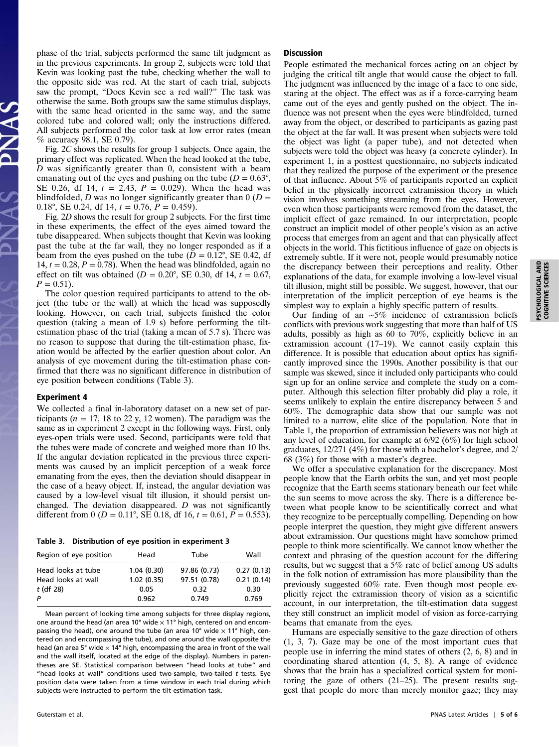phase of the trial, subjects performed the same tilt judgment as in the previous experiments. In group 2, subjects were told that Kevin was looking past the tube, checking whether the wall to the opposite side was red. At the start of each trial, subjects saw the prompt, "Does Kevin see a red wall?" The task was otherwise the same. Both groups saw the same stimulus displays, with the same head oriented in the same way, and the same colored tube and colored wall; only the instructions differed. All subjects performed the color task at low error rates (mean % accuracy 98.1, SE 0.79).

Fig. 2C shows the results for group 1 subjects. Once again, the primary effect was replicated. When the head looked at the tube, D was significantly greater than 0, consistent with a beam emanating out of the eyes and pushing on the tube  $(D = 0.63^{\circ})$ , SE 0.26, df 14,  $t = 2.43$ ,  $P = 0.029$ ). When the head was blindfolded, D was no longer significantly greater than  $0 (D =$ 0.18°, SE 0.24, df 14,  $t = 0.76$ ,  $P = 0.459$ ).

Fig. 2D shows the result for group 2 subjects. For the first time in these experiments, the effect of the eyes aimed toward the tube disappeared. When subjects thought that Kevin was looking past the tube at the far wall, they no longer responded as if a beam from the eyes pushed on the tube  $(D = 0.12^{\circ}, \text{SE } 0.42, \text{ df})$ 14,  $t = 0.28$ ,  $P = 0.78$ ). When the head was blindfolded, again no effect on tilt was obtained ( $D = 0.20^{\circ}$ , SE 0.30, df 14,  $t = 0.67$ ,  $P = 0.51$ .

The color question required participants to attend to the object (the tube or the wall) at which the head was supposedly looking. However, on each trial, subjects finished the color question (taking a mean of 1.9 s) before performing the tiltestimation phase of the trial (taking a mean of 5.7 s). There was no reason to suppose that during the tilt-estimation phase, fixation would be affected by the earlier question about color. An analysis of eye movement during the tilt-estimation phase confirmed that there was no significant difference in distribution of eye position between conditions (Table 3).

#### Experiment 4

We collected a final in-laboratory dataset on a new set of participants ( $n = 17$ , 18 to 22 y, 12 women). The paradigm was the same as in experiment 2 except in the following ways. First, only eyes-open trials were used. Second, participants were told that the tubes were made of concrete and weighed more than 10 lbs. If the angular deviation replicated in the previous three experiments was caused by an implicit perception of a weak force emanating from the eyes, then the deviation should disappear in the case of a heavy object. If, instead, the angular deviation was caused by a low-level visual tilt illusion, it should persist unchanged. The deviation disappeared. D was not significantly different from 0 ( $D = 0.11^{\circ}$ , SE 0.18, df 16,  $t = 0.61$ ,  $P = 0.553$ ).

Table 3. Distribution of eye position in experiment 3

| Region of eye position | Head       | Tube         | Wall       |
|------------------------|------------|--------------|------------|
| Head looks at tube     | 1.04(0.30) | 97.86 (0.73) | 0.27(0.13) |
| Head looks at wall     | 1.02(0.35) | 97.51 (0.78) | 0.21(0.14) |
| $t$ (df 28)            | 0.05       | 0.32         | 0.30       |
| P                      | 0.962      | 0.749        | 0.769      |

Mean percent of looking time among subjects for three display regions, one around the head (an area 10° wide  $\times$  11° high, centered on and encompassing the head), one around the tube (an area 10° wide  $\times$  11° high, centered on and encompassing the tube), and one around the wall opposite the head (an area 5 $\degree$  wide  $\times$  14 $\degree$  high, encompassing the area in front of the wall and the wall itself, located at the edge of the display). Numbers in parentheses are SE. Statistical comparison between "head looks at tube" and "head looks at wall" conditions used two-sample, two-tailed  $t$  tests. Eye position data were taken from a time window in each trial during which subjects were instructed to perform the tilt-estimation task.

#### Discussion

People estimated the mechanical forces acting on an object by judging the critical tilt angle that would cause the object to fall. The judgment was influenced by the image of a face to one side, staring at the object. The effect was as if a force-carrying beam came out of the eyes and gently pushed on the object. The influence was not present when the eyes were blindfolded, turned away from the object, or described to participants as gazing past the object at the far wall. It was present when subjects were told the object was light (a paper tube), and not detected when subjects were told the object was heavy (a concrete cylinder). In experiment 1, in a posttest questionnaire, no subjects indicated that they realized the purpose of the experiment or the presence of that influence. About 5% of participants reported an explicit belief in the physically incorrect extramission theory in which vision involves something streaming from the eyes. However, even when those participants were removed from the dataset, the implicit effect of gaze remained. In our interpretation, people construct an implicit model of other people's vision as an active process that emerges from an agent and that can physically affect objects in the world. This fictitious influence of gaze on objects is extremely subtle. If it were not, people would presumably notice the discrepancy between their perceptions and reality. Other explanations of the data, for example involving a low-level visual tilt illusion, might still be possible. We suggest, however, that our interpretation of the implicit perception of eye beams is the simplest way to explain a highly specific pattern of results.

Our finding of an ∼5% incidence of extramission beliefs conflicts with previous work suggesting that more than half of US adults, possibly as high as 60 to 70%, explicitly believe in an extramission account (17–19). We cannot easily explain this difference. It is possible that education about optics has significantly improved since the 1990s. Another possibility is that our sample was skewed, since it included only participants who could sign up for an online service and complete the study on a computer. Although this selection filter probably did play a role, it seems unlikely to explain the entire discrepancy between 5 and 60%. The demographic data show that our sample was not limited to a narrow, elite slice of the population. Note that in Table 1, the proportion of extramission believers was not high at any level of education, for example at 6/92 (6%) for high school graduates, 12/271 (4%) for those with a bachelor's degree, and 2/ 68 (3%) for those with a master's degree.

We offer a speculative explanation for the discrepancy. Most people know that the Earth orbits the sun, and yet most people recognize that the Earth seems stationary beneath our feet while the sun seems to move across the sky. There is a difference between what people know to be scientifically correct and what they recognize to be perceptually compelling. Depending on how people interpret the question, they might give different answers about extramission. Our questions might have somehow primed people to think more scientifically. We cannot know whether the context and phrasing of the question account for the differing results, but we suggest that a 5% rate of belief among US adults in the folk notion of extramission has more plausibility than the previously suggested 60% rate. Even though most people explicitly reject the extramission theory of vision as a scientific account, in our interpretation, the tilt-estimation data suggest they still construct an implicit model of vision as force-carrying beams that emanate from the eyes.

Humans are especially sensitive to the gaze direction of others (1, 3, 7). Gaze may be one of the most important cues that people use in inferring the mind states of others (2, 6, 8) and in coordinating shared attention (4, 5, 8). A range of evidence shows that the brain has a specialized cortical system for monitoring the gaze of others (21–25). The present results suggest that people do more than merely monitor gaze; they may